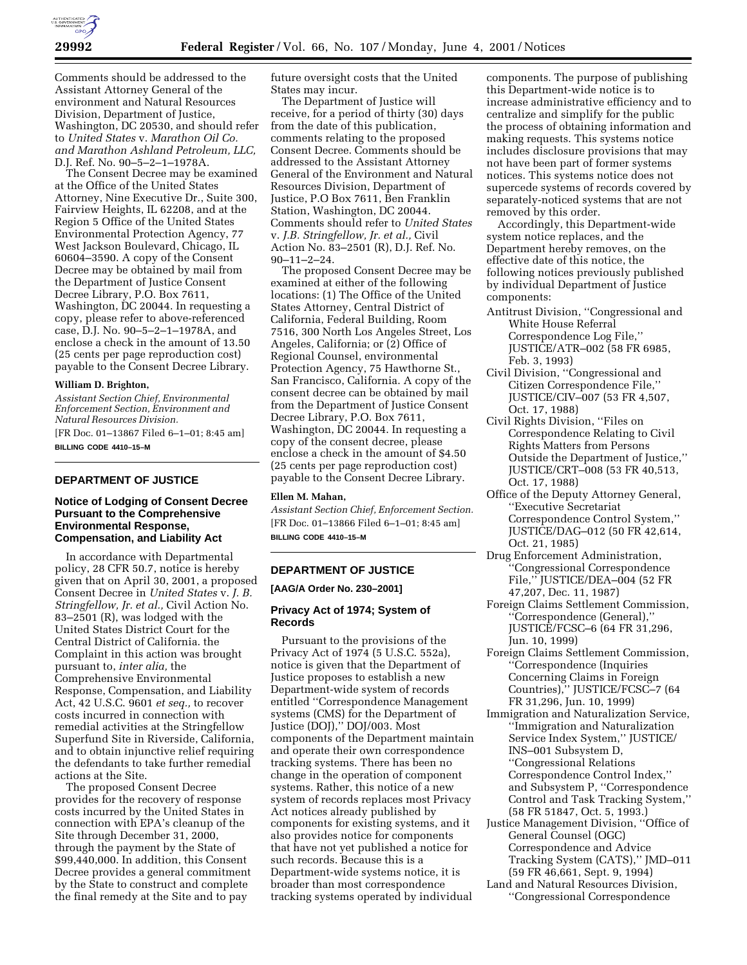

Comments should be addressed to the Assistant Attorney General of the environment and Natural Resources Division, Department of Justice, Washington, DC 20530, and should refer to *United States* v. *Marathon Oil Co. and Marathon Ashland Petroleum, LLC,* D.J. Ref. No. 90–5–2–1–1978A.

The Consent Decree may be examined at the Office of the United States Attorney, Nine Executive Dr., Suite 300, Fairview Heights, IL 62208, and at the Region 5 Office of the United States Environmental Protection Agency, 77 West Jackson Boulevard, Chicago, IL 60604–3590. A copy of the Consent Decree may be obtained by mail from the Department of Justice Consent Decree Library, P.O. Box 7611, Washington, DC 20044. In requesting a copy, please refer to above-referenced case, D.J. No. 90–5–2–1–1978A, and enclose a check in the amount of 13.50 (25 cents per page reproduction cost) payable to the Consent Decree Library.

#### **William D. Brighton,**

*Assistant Section Chief, Environmental Enforcement Section, Environment and Natural Resources Division.* [FR Doc. 01–13867 Filed 6–1–01; 8:45 am]

**BILLING CODE 4410–15–M**

# **DEPARTMENT OF JUSTICE**

# **Notice of Lodging of Consent Decree Pursuant to the Comprehensive Environmental Response, Compensation, and Liability Act**

In accordance with Departmental policy, 28 CFR 50.7, notice is hereby given that on April 30, 2001, a proposed Consent Decree in *United States* v. *J. B. Stringfellow, Jr. et al.,* Civil Action No. 83–2501 (R), was lodged with the United States District Court for the Central District of California. the Complaint in this action was brought pursuant to, *inter alia,* the Comprehensive Environmental Response, Compensation, and Liability Act, 42 U.S.C. 9601 *et seq.,* to recover costs incurred in connection with remedial activities at the Stringfellow Superfund Site in Riverside, California, and to obtain injunctive relief requiring the defendants to take further remedial actions at the Site.

The proposed Consent Decree provides for the recovery of response costs incurred by the United States in connection with EPA's cleanup of the Site through December 31, 2000, through the payment by the State of \$99,440,000. In addition, this Consent Decree provides a general commitment by the State to construct and complete the final remedy at the Site and to pay

future oversight costs that the United States may incur.

The Department of Justice will receive, for a period of thirty (30) days from the date of this publication, comments relating to the proposed Consent Decree. Comments should be addressed to the Assistant Attorney General of the Environment and Natural Resources Division, Department of Justice, P.O Box 7611, Ben Franklin Station, Washington, DC 20044. Comments should refer to *United States* v. *J.B. Stringfellow, Jr. et al.,* Civil Action No. 83–2501 (R), D.J. Ref. No. 90–11–2–24.

The proposed Consent Decree may be examined at either of the following locations: (1) The Office of the United States Attorney, Central District of California, Federal Building, Room 7516, 300 North Los Angeles Street, Los Angeles, California; or (2) Office of Regional Counsel, environmental Protection Agency, 75 Hawthorne St., San Francisco, California. A copy of the consent decree can be obtained by mail from the Department of Justice Consent Decree Library, P.O. Box 7611, Washington, DC 20044. In requesting a copy of the consent decree, please enclose a check in the amount of \$4.50 (25 cents per page reproduction cost) payable to the Consent Decree Library.

#### **Ellen M. Mahan,**

*Assistant Section Chief, Enforcement Section.* [FR Doc. 01–13866 Filed 6–1–01; 8:45 am] **BILLING CODE 4410–15–M**

## **DEPARTMENT OF JUSTICE**

**[AAG/A Order No. 230–2001]**

# **Privacy Act of 1974; System of Records**

Pursuant to the provisions of the Privacy Act of 1974 (5 U.S.C. 552a), notice is given that the Department of Justice proposes to establish a new Department-wide system of records entitled ''Correspondence Management systems (CMS) for the Department of Justice (DOJ),'' DOJ/003. Most components of the Department maintain and operate their own correspondence tracking systems. There has been no change in the operation of component systems. Rather, this notice of a new system of records replaces most Privacy Act notices already published by components for existing systems, and it also provides notice for components that have not yet published a notice for such records. Because this is a Department-wide systems notice, it is broader than most correspondence tracking systems operated by individual

components. The purpose of publishing this Department-wide notice is to increase administrative efficiency and to centralize and simplify for the public the process of obtaining information and making requests. This systems notice includes disclosure provisions that may not have been part of former systems notices. This systems notice does not supercede systems of records covered by separately-noticed systems that are not removed by this order.

Accordingly, this Department-wide system notice replaces, and the Department hereby removes, on the effective date of this notice, the following notices previously published by individual Department of Justice components:

- Antitrust Division, ''Congressional and White House Referral Correspondence Log File,'' JUSTICE/ATR–002 (58 FR 6985, Feb. 3, 1993)
- Civil Division, ''Congressional and Citizen Correspondence File,'' JUSTICE/CIV–007 (53 FR 4,507, Oct. 17, 1988)
- Civil Rights Division, ''Files on Correspondence Relating to Civil Rights Matters from Persons Outside the Department of Justice,'' JUSTICE/CRT–008 (53 FR 40,513, Oct. 17, 1988)
- Office of the Deputy Attorney General, ''Executive Secretariat Correspondence Control System,'' JUSTICE/DAG–012 (50 FR 42,614, Oct. 21, 1985)
- Drug Enforcement Administration, ''Congressional Correspondence File,'' JUSTICE/DEA–004 (52 FR 47,207, Dec. 11, 1987)
- Foreign Claims Settlement Commission, ''Correspondence (General),'' JUSTICE/FCSC–6 (64 FR 31,296, Jun. 10, 1999)
- Foreign Claims Settlement Commission, ''Correspondence (Inquiries Concerning Claims in Foreign Countries),'' JUSTICE/FCSC–7 (64 FR 31,296, Jun. 10, 1999)
- Immigration and Naturalization Service, ''Immigration and Naturalization Service Index System,'' JUSTICE/ INS–001 Subsystem D, ''Congressional Relations Correspondence Control Index,'' and Subsystem P, ''Correspondence Control and Task Tracking System,'' (58 FR 51847, Oct. 5, 1993.)
- Justice Management Division, ''Office of General Counsel (OGC) Correspondence and Advice Tracking System (CATS),'' JMD–011 (59 FR 46,661, Sept. 9, 1994)
- Land and Natural Resources Division, ''Congressional Correspondence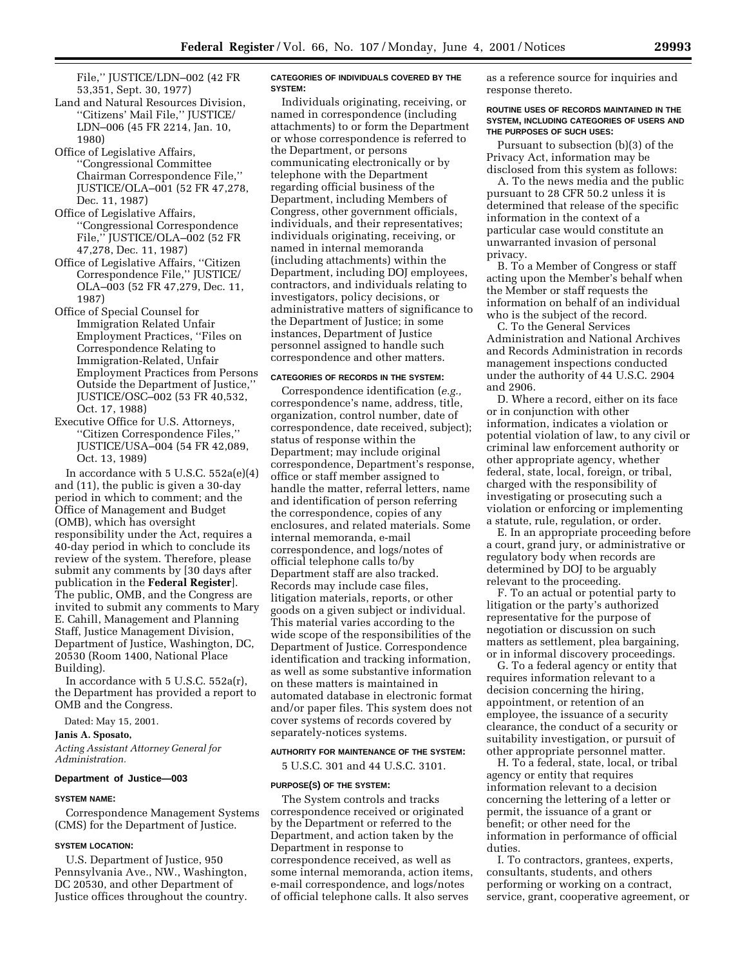File,'' JUSTICE/LDN–002 (42 FR 53,351, Sept. 30, 1977)

- Land and Natural Resources Division, ''Citizens' Mail File,'' JUSTICE/ LDN–006 (45 FR 2214, Jan. 10, 1980)
- Office of Legislative Affairs, ''Congressional Committee Chairman Correspondence File,'' JUSTICE/OLA–001 (52 FR 47,278, Dec. 11, 1987)
- Office of Legislative Affairs, ''Congressional Correspondence File,'' JUSTICE/OLA–002 (52 FR 47,278, Dec. 11, 1987)
- Office of Legislative Affairs, ''Citizen Correspondence File,'' JUSTICE/ OLA–003 (52 FR 47,279, Dec. 11, 1987)
- Office of Special Counsel for Immigration Related Unfair Employment Practices, ''Files on Correspondence Relating to Immigration-Related, Unfair Employment Practices from Persons Outside the Department of Justice,'' JUSTICE/OSC–002 (53 FR 40,532, Oct. 17, 1988)
- Executive Office for U.S. Attorneys, ''Citizen Correspondence Files,'' JUSTICE/USA–004 (54 FR 42,089, Oct. 13, 1989)

In accordance with  $5$  U.S.C.  $552a(e)(4)$ and (11), the public is given a 30-day period in which to comment; and the Office of Management and Budget (OMB), which has oversight responsibility under the Act, requires a 40-day period in which to conclude its review of the system. Therefore, please submit any comments by [30 days after publication in the **Federal Register**]. The public, OMB, and the Congress are invited to submit any comments to Mary E. Cahill, Management and Planning Staff, Justice Management Division, Department of Justice, Washington, DC, 20530 (Room 1400, National Place Building).

In accordance with 5 U.S.C. 552a(r), the Department has provided a report to OMB and the Congress.

Dated: May 15, 2001.

#### **Janis A. Sposato,**

*Acting Assistant Attorney General for Administration.*

### **Department of Justice—003**

### **SYSTEM NAME:**

Correspondence Management Systems (CMS) for the Department of Justice.

#### **SYSTEM LOCATION:**

U.S. Department of Justice, 950 Pennsylvania Ave., NW., Washington, DC 20530, and other Department of Justice offices throughout the country.

### **CATEGORIES OF INDIVIDUALS COVERED BY THE SYSTEM:**

Individuals originating, receiving, or named in correspondence (including attachments) to or form the Department or whose correspondence is referred to the Department, or persons communicating electronically or by telephone with the Department regarding official business of the Department, including Members of Congress, other government officials, individuals, and their representatives; individuals originating, receiving, or named in internal memoranda (including attachments) within the Department, including DOJ employees, contractors, and individuals relating to investigators, policy decisions, or administrative matters of significance to the Department of Justice; in some instances, Department of Justice personnel assigned to handle such correspondence and other matters.

#### **CATEGORIES OF RECORDS IN THE SYSTEM:**

Correspondence identification (*e.g.,* correspondence's name, address, title, organization, control number, date of correspondence, date received, subject); status of response within the Department; may include original correspondence, Department's response, office or staff member assigned to handle the matter, referral letters, name and identification of person referring the correspondence, copies of any enclosures, and related materials. Some internal memoranda, e-mail correspondence, and logs/notes of official telephone calls to/by Department staff are also tracked. Records may include case files, litigation materials, reports, or other goods on a given subject or individual. This material varies according to the wide scope of the responsibilities of the Department of Justice. Correspondence identification and tracking information, as well as some substantive information on these matters is maintained in automated database in electronic format and/or paper files. This system does not cover systems of records covered by separately-notices systems.

#### **AUTHORITY FOR MAINTENANCE OF THE SYSTEM:**

5 U.S.C. 301 and 44 U.S.C. 3101.

#### **PURPOSE(S) OF THE SYSTEM:**

The System controls and tracks correspondence received or originated by the Department or referred to the Department, and action taken by the Department in response to correspondence received, as well as some internal memoranda, action items, e-mail correspondence, and logs/notes of official telephone calls. It also serves

as a reference source for inquiries and response thereto.

### **ROUTINE USES OF RECORDS MAINTAINED IN THE SYSTEM, INCLUDING CATEGORIES OF USERS AND THE PURPOSES OF SUCH USES:**

Pursuant to subsection (b)(3) of the Privacy Act, information may be disclosed from this system as follows:

A. To the news media and the public pursuant to 28 CFR 50.2 unless it is determined that release of the specific information in the context of a particular case would constitute an unwarranted invasion of personal privacy.

B. To a Member of Congress or staff acting upon the Member's behalf when the Member or staff requests the information on behalf of an individual who is the subject of the record.

C. To the General Services Administration and National Archives and Records Administration in records management inspections conducted under the authority of 44 U.S.C. 2904 and 2906.

D. Where a record, either on its face or in conjunction with other information, indicates a violation or potential violation of law, to any civil or criminal law enforcement authority or other appropriate agency, whether federal, state, local, foreign, or tribal, charged with the responsibility of investigating or prosecuting such a violation or enforcing or implementing a statute, rule, regulation, or order.

E. In an appropriate proceeding before a court, grand jury, or administrative or regulatory body when records are determined by DOJ to be arguably relevant to the proceeding.

F. To an actual or potential party to litigation or the party's authorized representative for the purpose of negotiation or discussion on such matters as settlement, plea bargaining, or in informal discovery proceedings.

G. To a federal agency or entity that requires information relevant to a decision concerning the hiring, appointment, or retention of an employee, the issuance of a security clearance, the conduct of a security or suitability investigation, or pursuit of other appropriate personnel matter.

H. To a federal, state, local, or tribal agency or entity that requires information relevant to a decision concerning the lettering of a letter or permit, the issuance of a grant or benefit; or other need for the information in performance of official duties.

I. To contractors, grantees, experts, consultants, students, and others performing or working on a contract, service, grant, cooperative agreement, or